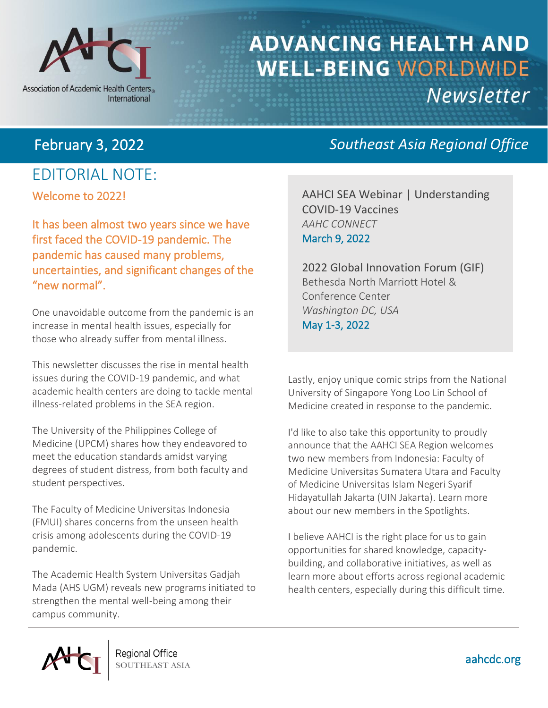

Association of Academic Health Centers International

# **ADVANCING HEALTH AND WELL-BEING WORLDWIDE** Newsletter

# Welcome to 2022! EDITORIAL NOTE:

It has been almost two years since we have first faced the COVID-19 pandemic. The pandemic has caused many problems, uncertainties, and significant changes of the "new normal".

One unavoidable outcome from the pandemic is an increase in mental health issues, especially for those who already suffer from mental illness.

This newsletter discusses the rise in mental health issues during the COVID-19 pandemic, and what academic health centers are doing to tackle mental illness-related problems in the SEA region.

The University of the Philippines College of Medicine (UPCM) shares how they endeavored to meet the education standards amidst varying degrees of student distress, from both faculty and student perspectives.

The Faculty of Medicine Universitas Indonesia (FMUI) shares concerns from the unseen health crisis among adolescents during the COVID-19 pandemic.

The Academic Health System Universitas Gadjah Mada (AHS UGM) reveals new programs initiated to strengthen the mental well-being among their campus community.

# February 3, 2022 *Southeast Asia Regional Office*

AAHCI SEA Webinar | Understanding COVID-19 Vaccines *AAHC CONNECT* March 9, 2022

2022 Global Innovation Forum (GIF) Bethesda North Marriott Hotel & Conference Center *Washington DC, USA* May 1-3, 2022

Lastly, enjoy unique comic strips from the National University of Singapore Yong Loo Lin School of Medicine created in response to the pandemic.

I'd like to also take this opportunity to proudly announce that the AAHCI SEA Region welcomes two new members from Indonesia: Faculty of Medicine Universitas Sumatera Utara and Faculty of Medicine Universitas Islam Negeri Syarif Hidayatullah Jakarta (UIN Jakarta). Learn more about our new members in the Spotlights.

I believe AAHCI is the right place for us to gain opportunities for shared knowledge, capacitybuilding, and collaborative initiatives, as well as learn more about efforts across regional academic health centers, especially during this difficult time.

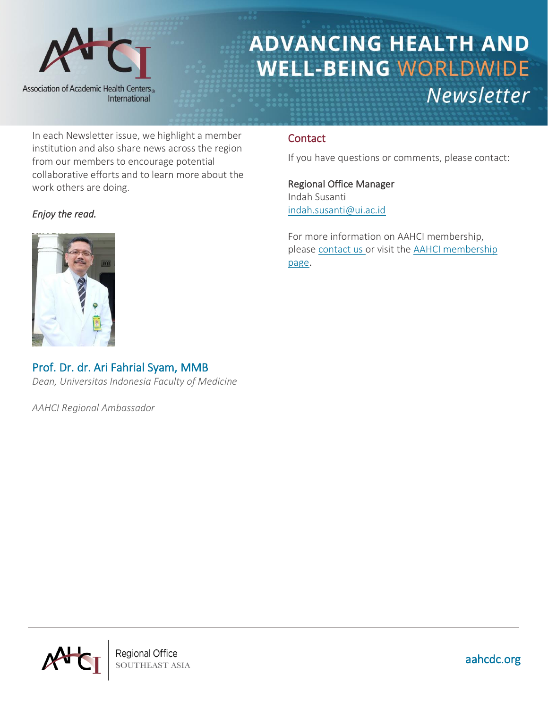

In each Newsletter issue, we highlight a member institution and also share news across the region from our members to encourage potential collaborative efforts and to learn more about the work others are doing.

### *Enjoy the read.*



# Prof. Dr. dr. Ari Fahrial Syam, MMB

*Dean, Universitas Indonesia Faculty of Medicine*

*AAHCI Regional Ambassador*

### **Contact**

If you have questions or comments, please contact:

Regional Office Manager Indah Susanti [indah.susanti@ui.ac.id](mailto:indah.susanti@ui.ac.id)

For more information on AAHCI membership, please [contact us](mailto:international@aahcdc.org) or visit the [AAHCI membership](https://www.aahcdc.org/About/Membership)  [page](https://www.aahcdc.org/About/Membership).



**Regional Office SOUTHEAST ASIA**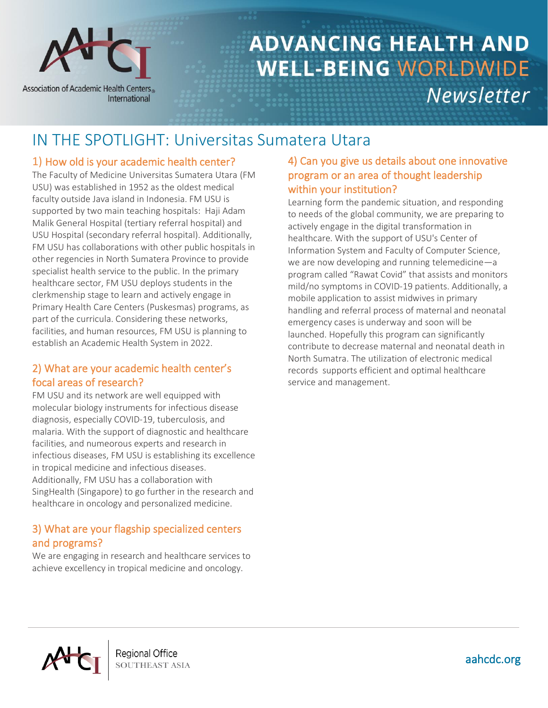

# IN THE SPOTLIGHT: Universitas Sumatera Utara

### 1) How old is your academic health center?

The Faculty of Medicine Universitas Sumatera Utara (FM USU) was established in 1952 as the oldest medical faculty outside Java island in Indonesia. FM USU is supported by two main teaching hospitals: Haji Adam Malik General Hospital (tertiary referral hospital) and USU Hospital (secondary referral hospital). Additionally, FM USU has collaborations with other public hospitals in other regencies in North Sumatera Province to provide specialist health service to the public. In the primary healthcare sector, FM USU deploys students in the clerkmenship stage to learn and actively engage in Primary Health Care Centers (Puskesmas) programs, as part of the curricula. Considering these networks, facilities, and human resources, FM USU is planning to establish an Academic Health System in 2022.

### 2) What are your academic health center's focal areas of research?

FM USU and its network are well equipped with molecular biology instruments for infectious disease diagnosis, especially COVID-19, tuberculosis, and malaria. With the support of diagnostic and healthcare facilities, and numeorous experts and research in infectious diseases, FM USU is establishing its excellence in tropical medicine and infectious diseases. Additionally, FM USU has a collaboration with SingHealth (Singapore) to go further in the research and healthcare in oncology and personalized medicine.

### 3) What are your flagship specialized centers and programs?

We are engaging in research and healthcare services to achieve excellency in tropical medicine and oncology.

### 4) Can you give us details about one innovative program or an area of thought leadership within your institution?

Learning form the pandemic situation, and responding to needs of the global community, we are preparing to actively engage in the digital transformation in healthcare. With the support of USU's Center of Information System and Faculty of Computer Science, we are now developing and running telemedicine—a program called "Rawat Covid" that assists and monitors mild/no symptoms in COVID-19 patients. Additionally, a mobile application to assist midwives in primary handling and referral process of maternal and neonatal emergency cases is underway and soon will be launched. Hopefully this program can significantly contribute to decrease maternal and neonatal death in North Sumatra. The utilization of electronic medical records supports efficient and optimal healthcare service and management.



**Regional Office SOUTHEAST ASIA**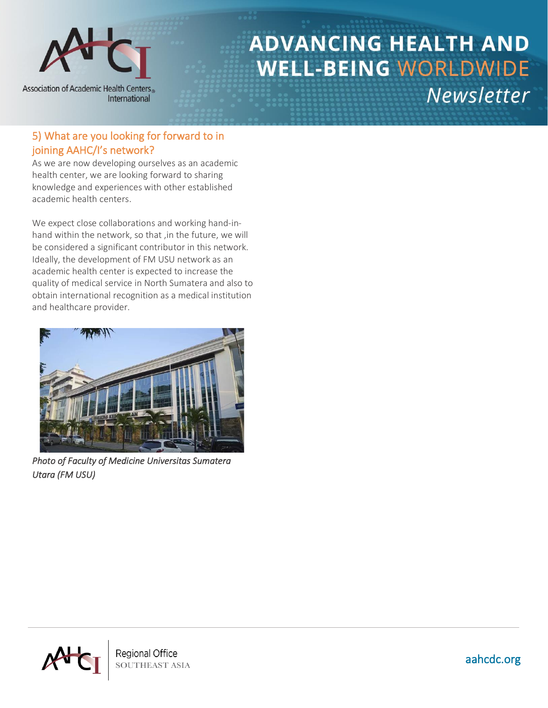

### 5) What are you looking for forward to in joining AAHC/I's network?

As we are now developing ourselves as an academic health center, we are looking forward to sharing knowledge and experiences with other established academic health centers.

We expect close collaborations and working hand-inhand within the network, so that ,in the future, we will be considered a significant contributor in this network. Ideally, the development of FM USU network as an academic health center is expected to increase the quality of medical service in North Sumatera and also to obtain international recognition as a medical institution and healthcare provider.



*Photo of Faculty of Medicine Universitas Sumatera Utara (FM USU)* 



**SOUTHEAST ASIA**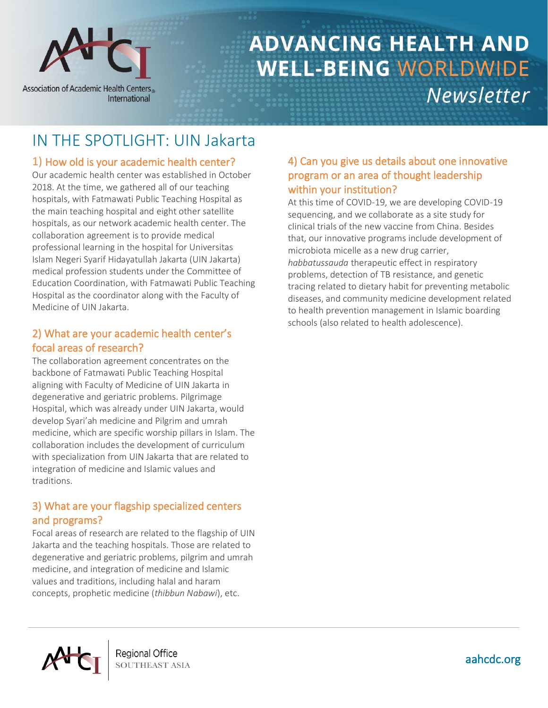

# IN THE SPOTLIGHT: UIN Jakarta

## 1) How old is your academic health center?

Our academic health center was established in October 2018. At the time, we gathered all of our teaching hospitals, with Fatmawati Public Teaching Hospital as the main teaching hospital and eight other satellite hospitals, as our network academic health center. The collaboration agreement is to provide medical professional learning in the hospital for Universitas Islam Negeri Syarif Hidayatullah Jakarta (UIN Jakarta) medical profession students under the Committee of Education Coordination, with Fatmawati Public Teaching Hospital as the coordinator along with the Faculty of Medicine of UIN Jakarta.

### 2) What are your academic health center's focal areas of research?

The collaboration agreement concentrates on the backbone of Fatmawati Public Teaching Hospital aligning with Faculty of Medicine of UIN Jakarta in degenerative and geriatric problems. Pilgrimage Hospital, which was already under UIN Jakarta, would develop Syari'ah medicine and Pilgrim and umrah medicine, which are specific worship pillars in Islam. The collaboration includes the development of curriculum with specialization from UIN Jakarta that are related to integration of medicine and Islamic values and traditions.

### 3) What are your flagship specialized centers and programs?

Focal areas of research are related to the flagship of UIN Jakarta and the teaching hospitals. Those are related to degenerative and geriatric problems, pilgrim and umrah medicine, and integration of medicine and Islamic values and traditions, including halal and haram concepts, prophetic medicine (*thibbun Nabawi*), etc.

### 4) Can you give us details about one innovative program or an area of thought leadership within your institution?

At this time of COVID-19, we are developing COVID-19 sequencing, and we collaborate as a site study for clinical trials of the new vaccine from China. Besides that, our innovative programs include development of microbiota micelle as a new drug carrier, *habbatussauda* therapeutic effect in respiratory problems, detection of TB resistance, and genetic tracing related to dietary habit for preventing metabolic diseases, and community medicine development related to health prevention management in Islamic boarding schools (also related to health adolescence).



**Regional Office SOUTHEAST ASIA**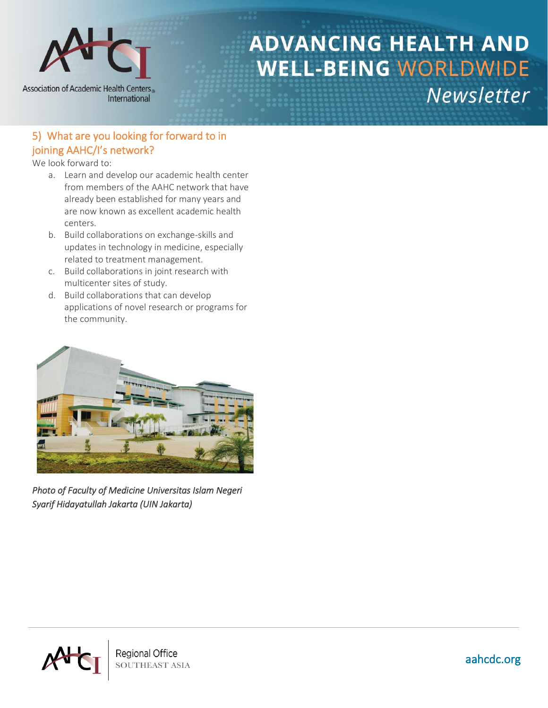

## 5) What are you looking for forward to in joining AAHC/I's network?

We look forward to:

- a. Learn and develop our academic health center from members of the AAHC network that have already been established for many years and are now known as excellent academic health centers.
- b. Build collaborations on exchange-skills and updates in technology in medicine, especially related to treatment management.
- c. Build collaborations in joint research with multicenter sites of study.
- d. Build collaborations that can develop applications of novel research or programs for the community.



*Photo of Faculty of Medicine Universitas Islam Negeri Syarif Hidayatullah Jakarta (UIN Jakarta)* 

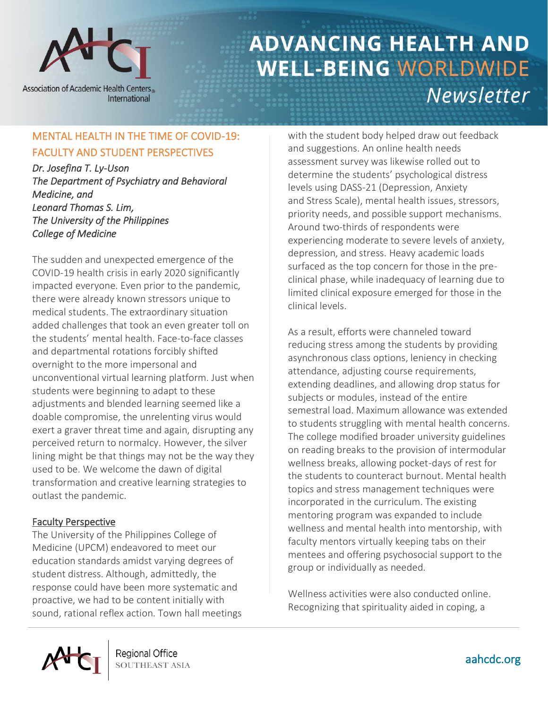

**Association of Academic Health Centers** International

# **ADVANCING HEALTH AND WELL-BEING WORLDWIDE** Newsletter

## MENTAL HEALTH IN THE TIME OF COVID-19: FACULTY AND STUDENT PERSPECTIVES

*Dr. Josefina T. Ly-Uson The Department of Psychiatry and Behavioral Medicine, and Leonard Thomas S. Lim, The University of the Philippines College of Medicine* 

The sudden and unexpected emergence of the COVID-19 health crisis in early 2020 significantly impacted everyone. Even prior to the pandemic, there were already known stressors unique to medical students. The extraordinary situation added challenges that took an even greater toll on the students' mental health. Face-to-face classes and departmental rotations forcibly shifted overnight to the more impersonal and unconventional virtual learning platform. Just when students were beginning to adapt to these adjustments and blended learning seemed like a doable compromise, the unrelenting virus would exert a graver threat time and again, disrupting any perceived return to normalcy. However, the silver lining might be that things may not be the way they used to be. We welcome the dawn of digital transformation and creative learning strategies to outlast the pandemic.

### Faculty Perspective

The University of the Philippines College of Medicine (UPCM) endeavored to meet our education standards amidst varying degrees of student distress. Although, admittedly, the response could have been more systematic and proactive, we had to be content initially with sound, rational reflex action. Town hall meetings with the student body helped draw out feedback and suggestions. An online health needs assessment survey was likewise rolled out to determine the students' psychological distress levels using DASS-21 (Depression, Anxiety and Stress Scale), mental health issues, stressors, priority needs, and possible support mechanisms. Around two-thirds of respondents were experiencing moderate to severe levels of anxiety, depression, and stress. Heavy academic loads surfaced as the top concern for those in the preclinical phase, while inadequacy of learning due to limited clinical exposure emerged for those in the clinical levels.

As a result, efforts were channeled toward reducing stress among the students by providing asynchronous class options, leniency in checking attendance, adjusting course requirements, extending deadlines, and allowing drop status for subjects or modules, instead of the entire semestral load. Maximum allowance was extended to students struggling with mental health concerns. The college modified broader university guidelines on reading breaks to the provision of intermodular wellness breaks, allowing pocket-days of rest for the students to counteract burnout. Mental health topics and stress management techniques were incorporated in the curriculum. The existing mentoring program was expanded to include wellness and mental health into mentorship, with faculty mentors virtually keeping tabs on their mentees and offering psychosocial support to the group or individually as needed.

Wellness activities were also conducted online. Recognizing that spirituality aided in coping, a



**Regional Office SOUTHEAST ASIA**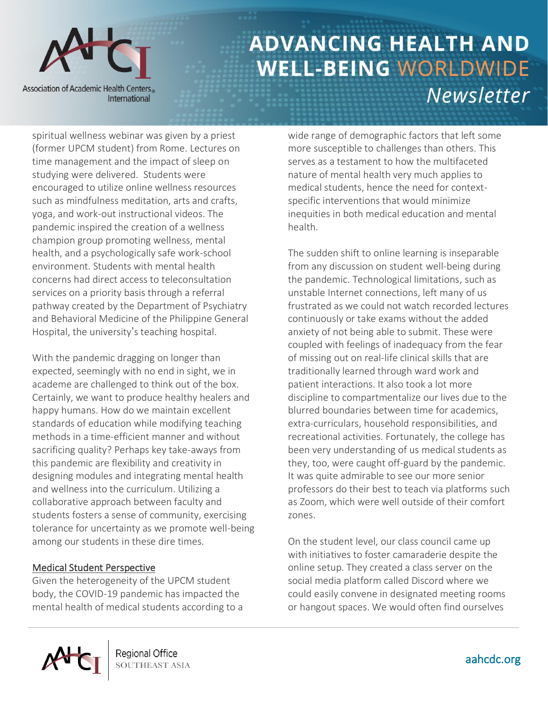

spiritual wellness webinar was given by a priest (former UPCM student) from Rome. Lectures on time management and the impact of sleep on studying were delivered. Students were encouraged to utilize online wellness resources such as mindfulness meditation, arts and crafts, yoga, and work-out instructional videos. The pandemic inspired the creation of a wellness champion group promoting wellness, mental health, and a psychologically safe work-school environment. Students with mental health concerns had direct access to teleconsultation services on a priority basis through a referral pathway created by the Department of Psychiatry and Behavioral Medicine of the Philippine General Hospital, the university's teaching hospital.

With the pandemic dragging on longer than expected, seemingly with no end in sight, we in academe are challenged to think out of the box. Certainly, we want to produce healthy healers and happy humans. How do we maintain excellent standards of education while modifying teaching methods in a time-efficient manner and without sacrificing quality? Perhaps key take-aways from this pandemic are flexibility and creativity in designing modules and integrating mental health and wellness into the curriculum. Utilizing a collaborative approach between faculty and students fosters a sense of community, exercising tolerance for uncertainty as we promote well-being among our students in these dire times.

#### Medical Student Perspective

Given the heterogeneity of the UPCM student body, the COVID-19 pandemic has impacted the mental health of medical students according to a wide range of demographic factors that left some more susceptible to challenges than others. This serves as a testament to how the multifaceted nature of mental health very much applies to medical students, hence the need for contextspecific interventions that would minimize inequities in both medical education and mental health.

The sudden shift to online learning is inseparable from any discussion on student well-being during the pandemic. Technological limitations, such as unstable Internet connections, left many of us frustrated as we could not watch recorded lectures continuously or take exams without the added anxiety of not being able to submit. These were coupled with feelings of inadequacy from the fear of missing out on real-life clinical skills that are traditionally learned through ward work and patient interactions. It also took a lot more discipline to compartmentalize our lives due to the blurred boundaries between time for academics, extra-curriculars, household responsibilities, and recreational activities. Fortunately, the college has been very understanding of us medical students as they, too, were caught off-guard by the pandemic. It was quite admirable to see our more senior professors do their best to teach via platforms such as Zoom, which were well outside of their comfort zones.

On the student level, our class council came up with initiatives to foster camaraderie despite the online setup. They created a class server on the social media platform called Discord where we could easily convene in designated meeting rooms or hangout spaces. We would often find ourselves

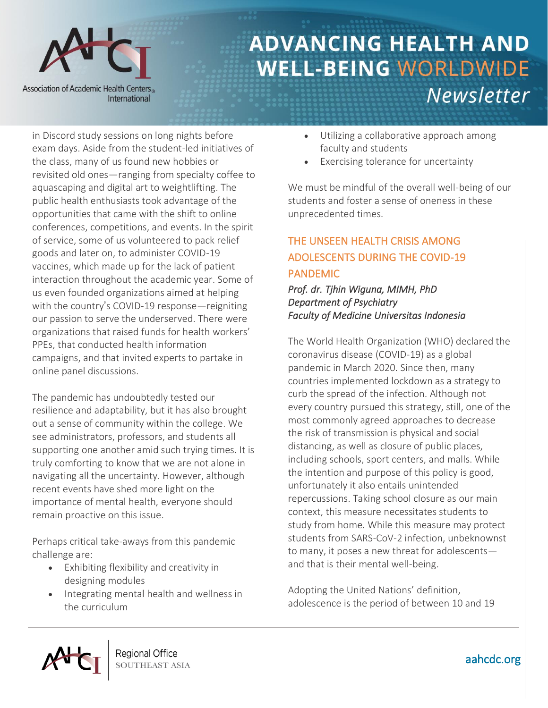

in Discord study sessions on long nights before exam days. Aside from the student-led initiatives of the class, many of us found new hobbies or revisited old ones—ranging from specialty coffee to aquascaping and digital art to weightlifting. The public health enthusiasts took advantage of the opportunities that came with the shift to online conferences, competitions, and events. In the spirit of service, some of us volunteered to pack relief goods and later on, to administer COVID-19 vaccines, which made up for the lack of patient interaction throughout the academic year. Some of us even founded organizations aimed at helping with the country's COVID-19 response—reigniting our passion to serve the underserved. There were organizations that raised funds for health workers' PPEs, that conducted health information campaigns, and that invited experts to partake in online panel discussions.

The pandemic has undoubtedly tested our resilience and adaptability, but it has also brought out a sense of community within the college. We see administrators, professors, and students all supporting one another amid such trying times. It is truly comforting to know that we are not alone in navigating all the uncertainty. However, although recent events have shed more light on the importance of mental health, everyone should remain proactive on this issue.

Perhaps critical take-aways from this pandemic challenge are:

- Exhibiting flexibility and creativity in designing modules
- Integrating mental health and wellness in the curriculum
- Utilizing a collaborative approach among faculty and students
- Exercising tolerance for uncertainty

We must be mindful of the overall well-being of our students and foster a sense of oneness in these unprecedented times.

# THE UNSEEN HEALTH CRISIS AMONG ADOLESCENTS DURING THE COVID-19 PANDEMIC

### *Prof. dr. Tjhin Wiguna, MIMH, PhD Department of Psychiatry Faculty of Medicine Universitas Indonesia*

The World Health Organization (WHO) declared the coronavirus disease (COVID-19) as a global pandemic in March 2020. Since then, many countries implemented lockdown as a strategy to curb the spread of the infection. Although not every country pursued this strategy, still, one of the most commonly agreed approaches to decrease the risk of transmission is physical and social distancing, as well as closure of public places, including schools, sport centers, and malls. While the intention and purpose of this policy is good, unfortunately it also entails unintended repercussions. Taking school closure as our main context, this measure necessitates students to study from home. While this measure may protect students from SARS-CoV-2 infection, unbeknownst to many, it poses a new threat for adolescents and that is their mental well-being.

Adopting the United Nations' definition, adolescence is the period of between 10 and 19

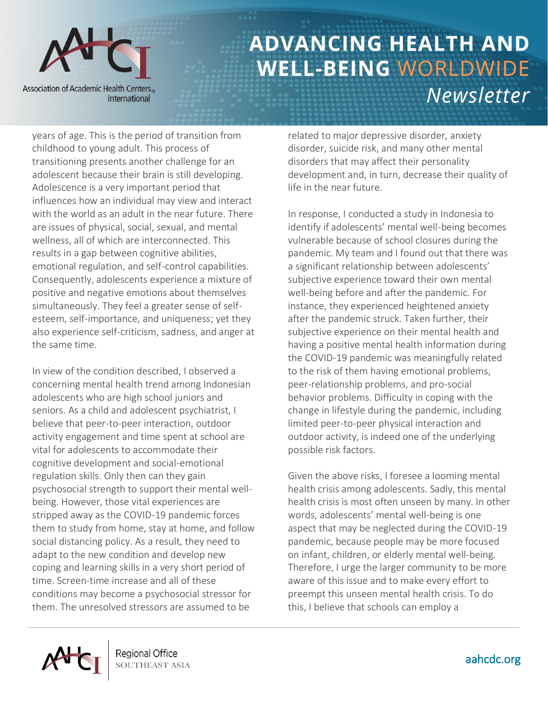

years of age. This is the period of transition from childhood to young adult. This process of transitioning presents another challenge for an adolescent because their brain is still developing. Adolescence is a very important period that influences how an individual may view and interact with the world as an adult in the near future. There are issues of physical, social, sexual, and mental wellness, all of which are interconnected. This results in a gap between cognitive abilities, emotional regulation, and self-control capabilities. Consequently, adolescents experience a mixture of positive and negative emotions about themselves simultaneously. They feel a greater sense of selfesteem, self-importance, and uniqueness; yet they also experience self-criticism, sadness, and anger at the same time.

In view of the condition described, I observed a concerning mental health trend among Indonesian adolescents who are high school juniors and seniors. As a child and adolescent psychiatrist, I believe that peer-to-peer interaction, outdoor activity engagement and time spent at school are vital for adolescents to accommodate their cognitive development and social-emotional regulation skills. Only then can they gain psychosocial strength to support their mental wellbeing. However, those vital experiences are stripped away as the COVID-19 pandemic forces them to study from home, stay at home, and follow social distancing policy. As a result, they need to adapt to the new condition and develop new coping and learning skills in a very short period of time. Screen-time increase and all of these conditions may become a psychosocial stressor for them. The unresolved stressors are assumed to be

related to major depressive disorder, anxiety disorder, suicide risk, and many other mental disorders that may affect their personality development and, in turn, decrease their quality of life in the near future.

In response, I conducted a study in Indonesia to identify if adolescents' mental well-being becomes vulnerable because of school closures during the pandemic. My team and I found out that there was a significant relationship between adolescents' subjective experience toward their own mental well-being before and after the pandemic. For instance, they experienced heightened anxiety after the pandemic struck. Taken further, their subjective experience on their mental health and having a positive mental health information during the COVID-19 pandemic was meaningfully related to the risk of them having emotional problems, peer-relationship problems, and pro-social behavior problems. Difficulty in coping with the change in lifestyle during the pandemic, including limited peer-to-peer physical interaction and outdoor activity, is indeed one of the underlying possible risk factors.

Given the above risks, I foresee a looming mental health crisis among adolescents. Sadly, this mental health crisis is most often unseen by many. In other words, adolescents' mental well-being is one aspect that may be neglected during the COVID-19 pandemic, because people may be more focused on infant, children, or elderly mental well-being. Therefore, I urge the larger community to be more aware of this issue and to make every effort to preempt this unseen mental health crisis. To do this, I believe that schools can employ a

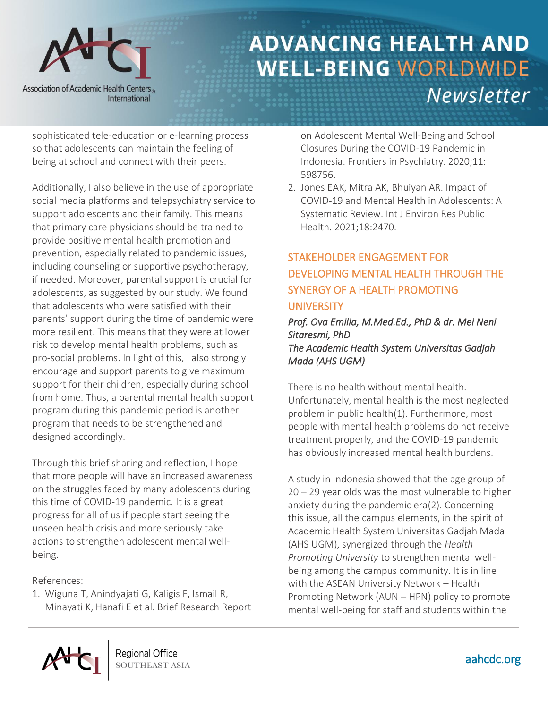

sophisticated tele-education or e-learning process so that adolescents can maintain the feeling of being at school and connect with their peers.

Additionally, I also believe in the use of appropriate social media platforms and telepsychiatry service to support adolescents and their family. This means that primary care physicians should be trained to provide positive mental health promotion and prevention, especially related to pandemic issues, including counseling or supportive psychotherapy, if needed. Moreover, parental support is crucial for adolescents, as suggested by our study. We found that adolescents who were satisfied with their parents' support during the time of pandemic were more resilient. This means that they were at lower risk to develop mental health problems, such as pro-social problems. In light of this, I also strongly encourage and support parents to give maximum support for their children, especially during school from home. Thus, a parental mental health support program during this pandemic period is another program that needs to be strengthened and designed accordingly.

Through this brief sharing and reflection, I hope that more people will have an increased awareness on the struggles faced by many adolescents during this time of COVID-19 pandemic. It is a great progress for all of us if people start seeing the unseen health crisis and more seriously take actions to strengthen adolescent mental wellbeing.

References:

1. Wiguna T, Anindyajati G, Kaligis F, Ismail R, Minayati K, Hanafi E et al. Brief Research Report on Adolescent Mental Well-Being and School Closures During the COVID-19 Pandemic in Indonesia. Frontiers in Psychiatry. 2020;11: 598756.

2. Jones EAK, Mitra AK, Bhuiyan AR. Impact of COVID-19 and Mental Health in Adolescents: A Systematic Review. Int J Environ Res Public Health. 2021;18:2470.

# STAKEHOLDER ENGAGEMENT FOR DEVELOPING MENTAL HEALTH THROUGH THE SYNERGY OF A HEALTH PROMOTING **UNIVERSITY**

#### *Prof. Ova Emilia, M.Med.Ed., PhD & dr. Mei Neni Sitaresmi, PhD The Academic Health System Universitas Gadjah Mada (AHS UGM)*

There is no health without mental health. Unfortunately, mental health is the most neglected problem in public health[\(1\)](#page-13-0). Furthermore, most people with mental health problems do not receive treatment properly, and the COVID-19 pandemic has obviously increased mental health burdens.

A study in Indonesia showed that the age group of 20 – 29 year olds was the most vulnerable to higher anxiety during the pandemic era[\(2\)](#page-13-1). Concerning this issue, all the campus elements, in the spirit of Academic Health System Universitas Gadjah Mada (AHS UGM), synergized through the *Health Promoting University* to strengthen mental wellbeing among the campus community. It is in line with the ASEAN University Network – Health Promoting Network (AUN – HPN) policy to promote mental well-being for staff and students within the

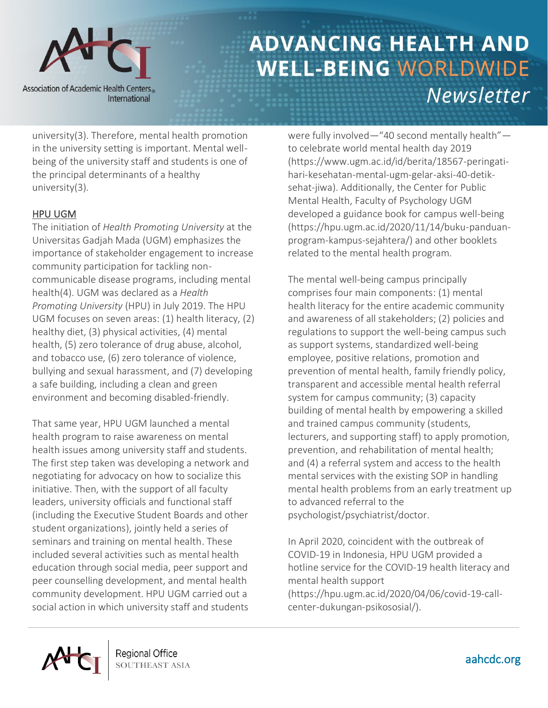

university[\(3\)](https://mail.google.com/mail/u/0/#_ENREF_3). Therefore, mental health promotion in the university setting is important. Mental wellbeing of the university staff and students is one of the principal determinants of a healthy university[\(3\)](#page-13-2).

### HPU UGM

The initiation of *Health Promoting University* at the Universitas Gadjah Mada (UGM) emphasizes the importance of stakeholder engagement to increase community participation for tackling noncommunicable disease programs, including mental health[\(4\)](#page-13-3). UGM was declared as a *Health Promoting University* (HPU) in July 2019. The HPU UGM focuses on seven areas: (1) health literacy, (2) healthy diet, (3) physical activities, (4) mental health, (5) zero tolerance of drug abuse, alcohol, and tobacco use, (6) zero tolerance of violence, bullying and sexual harassment, and (7) developing a safe building, including a clean and green environment and becoming disabled-friendly.

That same year, HPU UGM launched a mental health program to raise awareness on mental health issues among university staff and students. The first step taken was developing a network and negotiating for advocacy on how to socialize this initiative. Then, with the support of all faculty leaders, university officials and functional staff (including the Executive Student Boards and other student organizations), jointly held a series of seminars and training on mental health. These included several activities such as mental health education through social media, peer support and peer counselling development, and mental health community development. HPU UGM carried out a social action in which university staff and students

were fully involved—"40 second mentally health" to celebrate world mental health day 2019 [\(https://www.ugm.ac.id/id/berita/18567-peringati](https://www.ugm.ac.id/id/berita/18567-peringati-hari-kesehatan-mental-ugm-gelar-aksi-40-detik-sehat-jiwa)[hari-kesehatan-mental-ugm-gelar-aksi-40-detik](https://www.ugm.ac.id/id/berita/18567-peringati-hari-kesehatan-mental-ugm-gelar-aksi-40-detik-sehat-jiwa)[sehat-jiwa\)](https://www.ugm.ac.id/id/berita/18567-peringati-hari-kesehatan-mental-ugm-gelar-aksi-40-detik-sehat-jiwa). Additionally, the Center for Public Mental Health, Faculty of Psychology UGM developed a guidance book for campus well-being [\(https://hpu.ugm.ac.id/2020/11/14/buku-panduan](https://hpu.ugm.ac.id/2020/11/14/buku-panduan-program-kampus-sejahtera/)[program-kampus-sejahtera/\)](https://hpu.ugm.ac.id/2020/11/14/buku-panduan-program-kampus-sejahtera/) and other booklets related to the mental health program.

The mental well-being campus principally comprises four main components: (1) mental health literacy for the entire academic community and awareness of all stakeholders; (2) policies and regulations to support the well-being campus such as support systems, standardized well-being employee, positive relations, promotion and prevention of mental health, family friendly policy, transparent and accessible mental health referral system for campus community; (3) capacity building of mental health by empowering a skilled and trained campus community (students, lecturers, and supporting staff) to apply promotion, prevention, and rehabilitation of mental health; and (4) a referral system and access to the health mental services with the existing SOP in handling mental health problems from an early treatment up to advanced referral to the psychologist/psychiatrist/doctor.

In April 2020, coincident with the outbreak of COVID-19 in Indonesia, HPU UGM provided a hotline service for the COVID-19 health literacy and mental health support [\(https://hpu.ugm.ac.id/2020/04/06/covid-19-call](https://hpu.ugm.ac.id/2020/04/06/covid-19-call-center-dukungan-psikososial/)[center-dukungan-psikososial/\)](https://hpu.ugm.ac.id/2020/04/06/covid-19-call-center-dukungan-psikososial/).

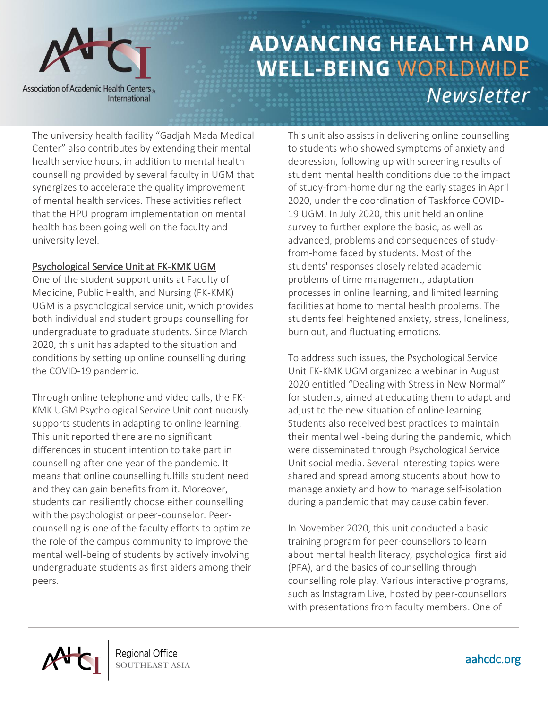

The university health facility "Gadjah Mada Medical Center" also contributes by extending their mental health service hours, in addition to mental health counselling provided by several faculty in UGM that synergizes to accelerate the quality improvement of mental health services. These activities reflect that the HPU program implementation on mental health has been going well on the faculty and university level.

#### Psychological Service Unit at FK-KMK UGM

One of the student support units at Faculty of Medicine, Public Health, and Nursing (FK-KMK) UGM is a psychological service unit, which provides both individual and student groups counselling for undergraduate to graduate students. Since March 2020, this unit has adapted to the situation and conditions by setting up online counselling during the COVID-19 pandemic.

Through online telephone and video calls, the FK-KMK UGM Psychological Service Unit continuously supports students in adapting to online learning. This unit reported there are no significant differences in student intention to take part in counselling after one year of the pandemic. It means that online counselling fulfills student need and they can gain benefits from it. Moreover, students can resiliently choose either counselling with the psychologist or peer-counselor. Peercounselling is one of the faculty efforts to optimize the role of the campus community to improve the mental well-being of students by actively involving undergraduate students as first aiders among their peers.

This unit also assists in delivering online counselling to students who showed symptoms of anxiety and depression, following up with screening results of student mental health conditions due to the impact of study-from-home during the early stages in April 2020, under the coordination of Taskforce COVID-19 UGM. In July 2020, this unit held an online survey to further explore the basic, as well as advanced, problems and consequences of studyfrom-home faced by students. Most of the students' responses closely related academic problems of time management, adaptation processes in online learning, and limited learning facilities at home to mental health problems. The students feel heightened anxiety, stress, loneliness, burn out, and fluctuating emotions.

To address such issues, the Psychological Service Unit FK-KMK UGM organized a webinar in August 2020 entitled "Dealing with Stress in New Normal" for students, aimed at educating them to adapt and adjust to the new situation of online learning. Students also received best practices to maintain their mental well-being during the pandemic, which were disseminated through Psychological Service Unit social media. Several interesting topics were shared and spread among students about how to manage anxiety and how to manage self-isolation during a pandemic that may cause cabin fever.

In November 2020, this unit conducted a basic training program for peer-counsellors to learn about mental health literacy, psychological first aid (PFA), and the basics of counselling through counselling role play. Various interactive programs, such as Instagram Live, hosted by peer-counsellors with presentations from faculty members. One of

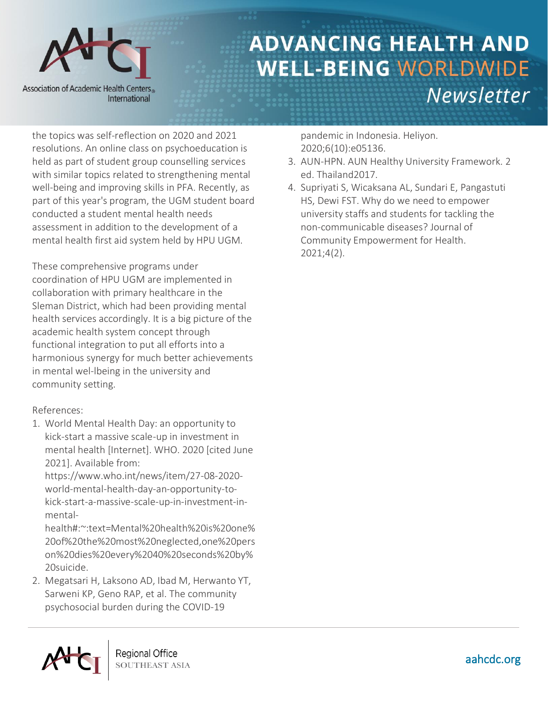

the topics was self-reflection on 2020 and 2021 resolutions. An online class on psychoeducation is held as part of student group counselling services with similar topics related to strengthening mental well-being and improving skills in PFA. Recently, as part of this year's program, the UGM student board conducted a student mental health needs assessment in addition to the development of a mental health first aid system held by HPU UGM.

These comprehensive programs under coordination of HPU UGM are implemented in collaboration with primary healthcare in the Sleman District, which had been providing mental health services accordingly. It is a big picture of the academic health system concept through functional integration to put all efforts into a harmonious synergy for much better achievements in mental wel-lbeing in the university and community setting.

### References:

<span id="page-13-0"></span>1. World Mental Health Day: an opportunity to kick-start a massive scale-up in investment in mental health [Internet]. WHO. 2020 [cited June 2021]. Available from:

https:/[/www.who.int/news/item/27-08-2020](http://www.who.int/news/item/27-08-2020-world-mental-health-day-an-opportunity-to-kick-start-a-massive-scale-up-in-investment-in-mental-health#:~:text=Mental%20health%20is%20one%20of%20the%20most%20neglected,one%20person%20dies%20every%2040%20seconds%20by%20suicide) [world-mental-health-day-an-opportunity-to](http://www.who.int/news/item/27-08-2020-world-mental-health-day-an-opportunity-to-kick-start-a-massive-scale-up-in-investment-in-mental-health#:~:text=Mental%20health%20is%20one%20of%20the%20most%20neglected,one%20person%20dies%20every%2040%20seconds%20by%20suicide)[kick-start-a-massive-scale-up-in-investment-in](http://www.who.int/news/item/27-08-2020-world-mental-health-day-an-opportunity-to-kick-start-a-massive-scale-up-in-investment-in-mental-health#:~:text=Mental%20health%20is%20one%20of%20the%20most%20neglected,one%20person%20dies%20every%2040%20seconds%20by%20suicide)[mental-](http://www.who.int/news/item/27-08-2020-world-mental-health-day-an-opportunity-to-kick-start-a-massive-scale-up-in-investment-in-mental-health#:~:text=Mental%20health%20is%20one%20of%20the%20most%20neglected,one%20person%20dies%20every%2040%20seconds%20by%20suicide)

[health#:~:text=Mental%20health%20is%20one%](http://www.who.int/news/item/27-08-2020-world-mental-health-day-an-opportunity-to-kick-start-a-massive-scale-up-in-investment-in-mental-health#:~:text=Mental%20health%20is%20one%20of%20the%20most%20neglected,one%20person%20dies%20every%2040%20seconds%20by%20suicide) [20of%20the%20most%20neglected,one%20pers](http://www.who.int/news/item/27-08-2020-world-mental-health-day-an-opportunity-to-kick-start-a-massive-scale-up-in-investment-in-mental-health#:~:text=Mental%20health%20is%20one%20of%20the%20most%20neglected,one%20person%20dies%20every%2040%20seconds%20by%20suicide) [on%20dies%20every%2040%20seconds%20by%](http://www.who.int/news/item/27-08-2020-world-mental-health-day-an-opportunity-to-kick-start-a-massive-scale-up-in-investment-in-mental-health#:~:text=Mental%20health%20is%20one%20of%20the%20most%20neglected,one%20person%20dies%20every%2040%20seconds%20by%20suicide) [20suicide.](http://www.who.int/news/item/27-08-2020-world-mental-health-day-an-opportunity-to-kick-start-a-massive-scale-up-in-investment-in-mental-health#:~:text=Mental%20health%20is%20one%20of%20the%20most%20neglected,one%20person%20dies%20every%2040%20seconds%20by%20suicide)

<span id="page-13-1"></span>2. Megatsari H, Laksono AD, Ibad M, Herwanto YT, Sarweni KP, Geno RAP, et al. The community psychosocial burden during the COVID-19

pandemic in Indonesia. Heliyon. 2020;6(10):e05136.

- <span id="page-13-2"></span>3. AUN-HPN. AUN Healthy University Framework. 2 ed. Thailand2017.
- <span id="page-13-3"></span>4. Supriyati S, Wicaksana AL, Sundari E, Pangastuti HS, Dewi FST. Why do we need to empower university staffs and students for tackling the non-communicable diseases? Journal of Community Empowerment for Health. 2021;4(2).

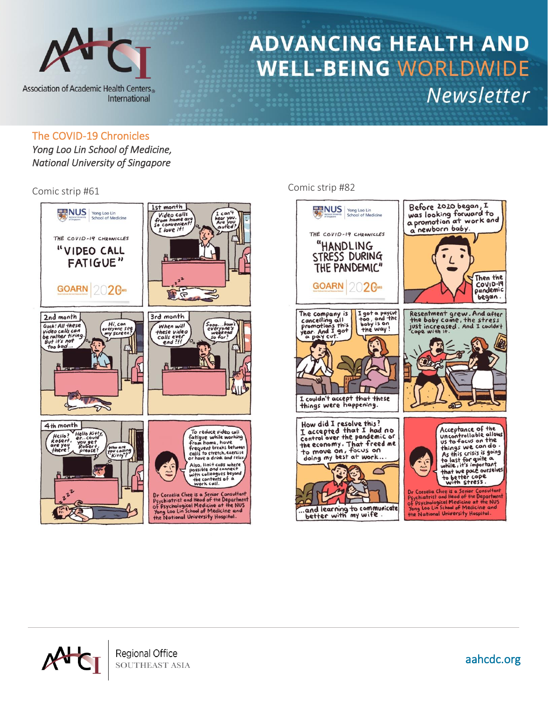

#### The COVID-19 Chronicles

*Yong Loo Lin School of Medicine, National University of Singapore* 



### Comic strip #61 Comic strip #82